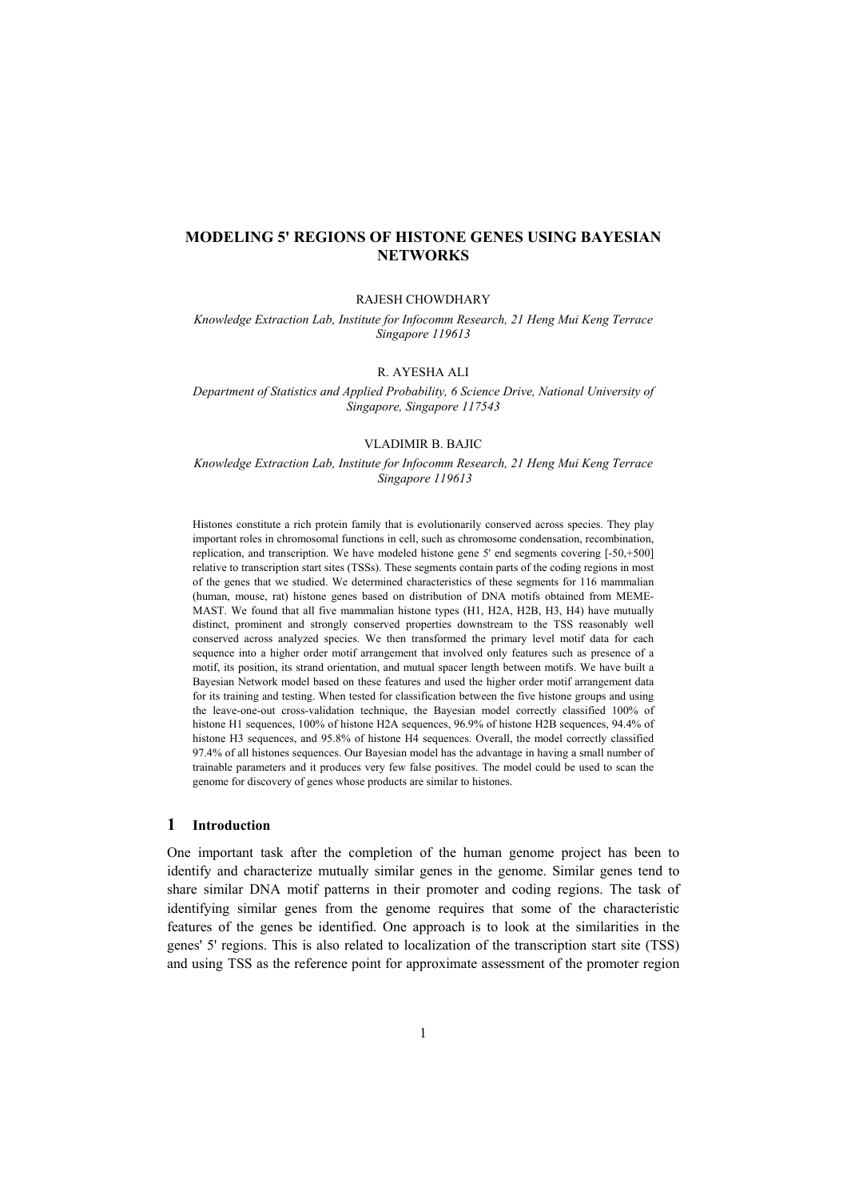# **MODELING 5' REGIONS OF HISTONE GENES USING BAYESIAN NETWORKS**

#### RAJESH CHOWDHARY

*Knowledge Extraction Lab, Institute for Infocomm Research, 21 Heng Mui Keng Terrace Singapore 119613*

### R. AYESHA ALI

*Department of Statistics and Applied Probability, 6 Science Drive, National University of Singapore, Singapore 117543* 

### VLADIMIR B. BAJIC

*Knowledge Extraction Lab, Institute for Infocomm Research, 21 Heng Mui Keng Terrace Singapore 119613* 

Histones constitute a rich protein family that is evolutionarily conserved across species. They play important roles in chromosomal functions in cell, such as chromosome condensation, recombination, replication, and transcription. We have modeled histone gene 5' end segments covering [-50,+500] relative to transcription start sites (TSSs). These segments contain parts of the coding regions in most of the genes that we studied. We determined characteristics of these segments for 116 mammalian (human, mouse, rat) histone genes based on distribution of DNA motifs obtained from MEME-MAST. We found that all five mammalian histone types (H1, H2A, H2B, H3, H4) have mutually distinct, prominent and strongly conserved properties downstream to the TSS reasonably well conserved across analyzed species. We then transformed the primary level motif data for each sequence into a higher order motif arrangement that involved only features such as presence of a motif, its position, its strand orientation, and mutual spacer length between motifs. We have built a Bayesian Network model based on these features and used the higher order motif arrangement data for its training and testing. When tested for classification between the five histone groups and using the leave-one-out cross-validation technique, the Bayesian model correctly classified 100% of histone H1 sequences, 100% of histone H2A sequences, 96.9% of histone H2B sequences, 94.4% of histone H3 sequences, and 95.8% of histone H4 sequences. Overall, the model correctly classified 97.4% of all histones sequences. Our Bayesian model has the advantage in having a small number of trainable parameters and it produces very few false positives. The model could be used to scan the genome for discovery of genes whose products are similar to histones.

#### **1 Introduction**

One important task after the completion of the human genome project has been to identify and characterize mutually similar genes in the genome. Similar genes tend to share similar DNA motif patterns in their promoter and coding regions. The task of identifying similar genes from the genome requires that some of the characteristic features of the genes be identified. One approach is to look at the similarities in the genes' 5' regions. This is also related to localization of the transcription start site (TSS) and using TSS as the reference point for approximate assessment of the promoter region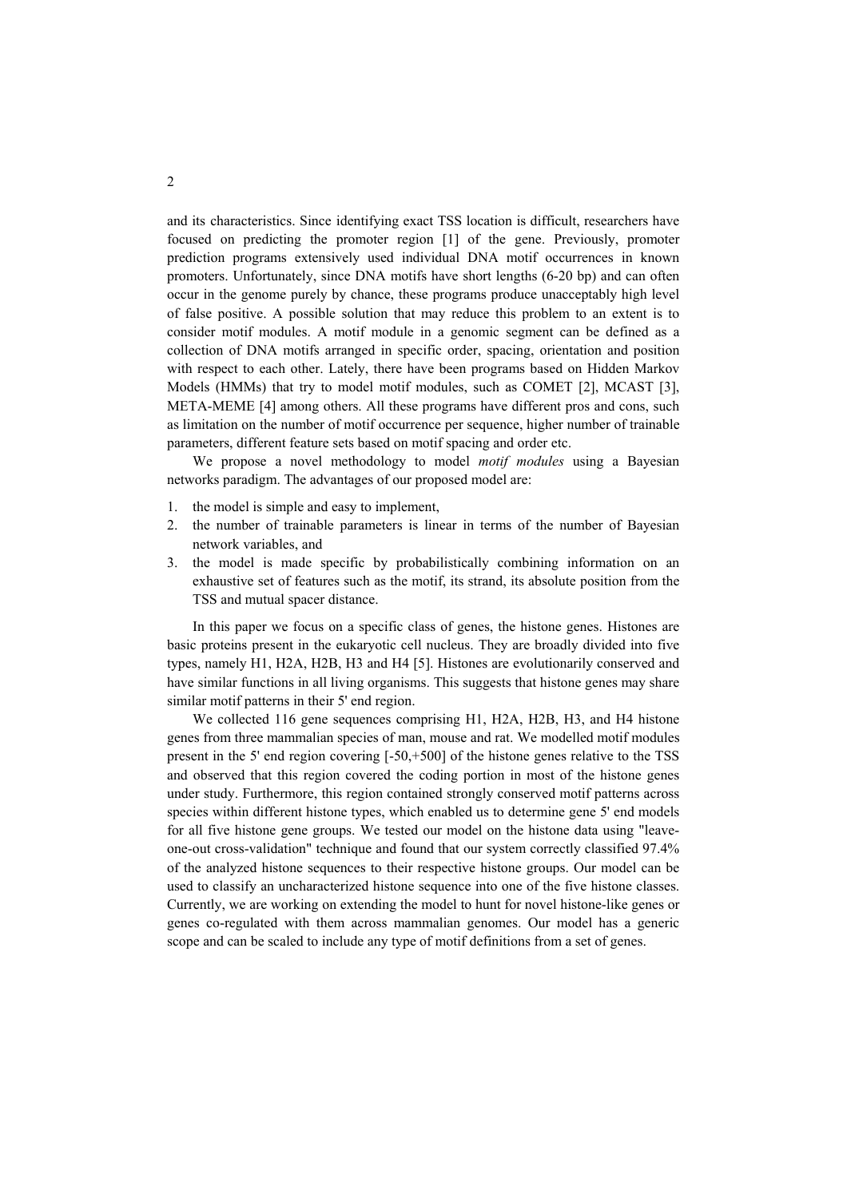and its characteristics. Since identifying exact TSS location is difficult, researchers have focused on predicting the promoter region [1] of the gene. Previously, promoter prediction programs extensively used individual DNA motif occurrences in known promoters. Unfortunately, since DNA motifs have short lengths (6-20 bp) and can often occur in the genome purely by chance, these programs produce unacceptably high level of false positive. A possible solution that may reduce this problem to an extent is to consider motif modules. A motif module in a genomic segment can be defined as a collection of DNA motifs arranged in specific order, spacing, orientation and position with respect to each other. Lately, there have been programs based on Hidden Markov Models (HMMs) that try to model motif modules, such as COMET [2], MCAST [3], META-MEME [4] among others. All these programs have different pros and cons, such as limitation on the number of motif occurrence per sequence, higher number of trainable parameters, different feature sets based on motif spacing and order etc.

We propose a novel methodology to model *motif modules* using a Bayesian networks paradigm. The advantages of our proposed model are:

- 1. the model is simple and easy to implement,
- 2. the number of trainable parameters is linear in terms of the number of Bayesian network variables, and
- 3. the model is made specific by probabilistically combining information on an exhaustive set of features such as the motif, its strand, its absolute position from the TSS and mutual spacer distance.

In this paper we focus on a specific class of genes, the histone genes. Histones are basic proteins present in the eukaryotic cell nucleus. They are broadly divided into five types, namely H1, H2A, H2B, H3 and H4 [5]. Histones are evolutionarily conserved and have similar functions in all living organisms. This suggests that histone genes may share similar motif patterns in their 5' end region.

We collected 116 gene sequences comprising H1, H2A, H2B, H3, and H4 histone genes from three mammalian species of man, mouse and rat. We modelled motif modules present in the 5' end region covering [-50,+500] of the histone genes relative to the TSS and observed that this region covered the coding portion in most of the histone genes under study. Furthermore, this region contained strongly conserved motif patterns across species within different histone types, which enabled us to determine gene 5' end models for all five histone gene groups. We tested our model on the histone data using "leaveone-out cross-validation" technique and found that our system correctly classified 97.4% of the analyzed histone sequences to their respective histone groups. Our model can be used to classify an uncharacterized histone sequence into one of the five histone classes. Currently, we are working on extending the model to hunt for novel histone-like genes or genes co-regulated with them across mammalian genomes. Our model has a generic scope and can be scaled to include any type of motif definitions from a set of genes.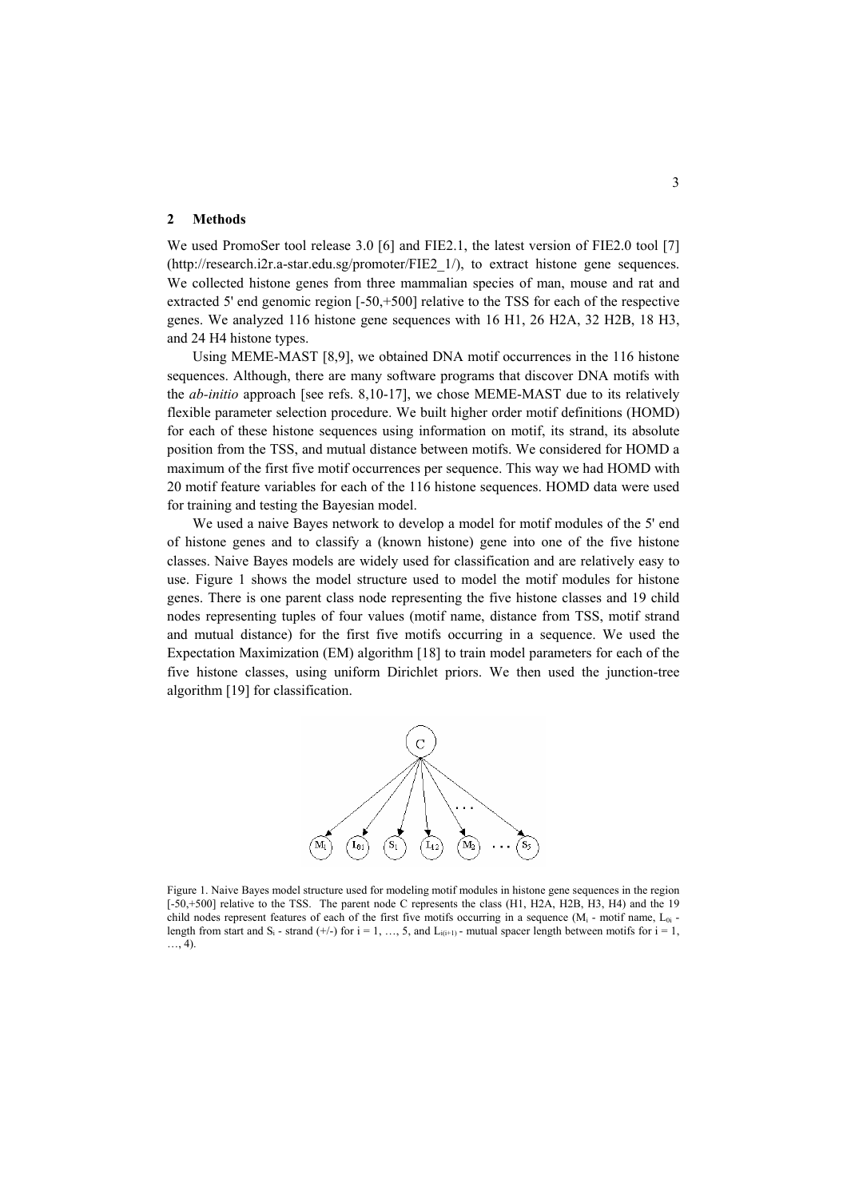### **2 Methods**

We used PromoSer tool release 3.0 [6] and FIE2.1, the latest version of FIE2.0 tool [7] (http://research.i2r.a-star.edu.sg/promoter/FIE2\_1/), to extract histone gene sequences. We collected histone genes from three mammalian species of man, mouse and rat and extracted 5' end genomic region [-50,+500] relative to the TSS for each of the respective genes. We analyzed 116 histone gene sequences with 16 H1, 26 H2A, 32 H2B, 18 H3, and 24 H4 histone types.

Using MEME-MAST [8,9], we obtained DNA motif occurrences in the 116 histone sequences. Although, there are many software programs that discover DNA motifs with the *ab-initio* approach [see refs. 8,10-17], we chose MEME-MAST due to its relatively flexible parameter selection procedure. We built higher order motif definitions (HOMD) for each of these histone sequences using information on motif, its strand, its absolute position from the TSS, and mutual distance between motifs. We considered for HOMD a maximum of the first five motif occurrences per sequence. This way we had HOMD with 20 motif feature variables for each of the 116 histone sequences. HOMD data were used for training and testing the Bayesian model.

We used a naive Bayes network to develop a model for motif modules of the 5' end of histone genes and to classify a (known histone) gene into one of the five histone classes. Naive Bayes models are widely used for classification and are relatively easy to use. Figure 1 shows the model structure used to model the motif modules for histone genes. There is one parent class node representing the five histone classes and 19 child nodes representing tuples of four values (motif name, distance from TSS, motif strand and mutual distance) for the first five motifs occurring in a sequence. We used the Expectation Maximization (EM) algorithm [18] to train model parameters for each of the five histone classes, using uniform Dirichlet priors. We then used the junction-tree algorithm [19] for classification.



Figure 1. Naive Bayes model structure used for modeling motif modules in histone gene sequences in the region [-50,+500] relative to the TSS. The parent node C represents the class (H1, H2A, H2B, H3, H4) and the 19 child nodes represent features of each of the first five motifs occurring in a sequence  $(M_i - \text{motif name}, L_{0i} - \text{dotif name})$ length from start and  $S_i$  - strand (+/-) for  $i = 1, ..., 5$ , and  $L_{i(i+1)}$  - mutual spacer length between motifs for  $i = 1$ , …, 4).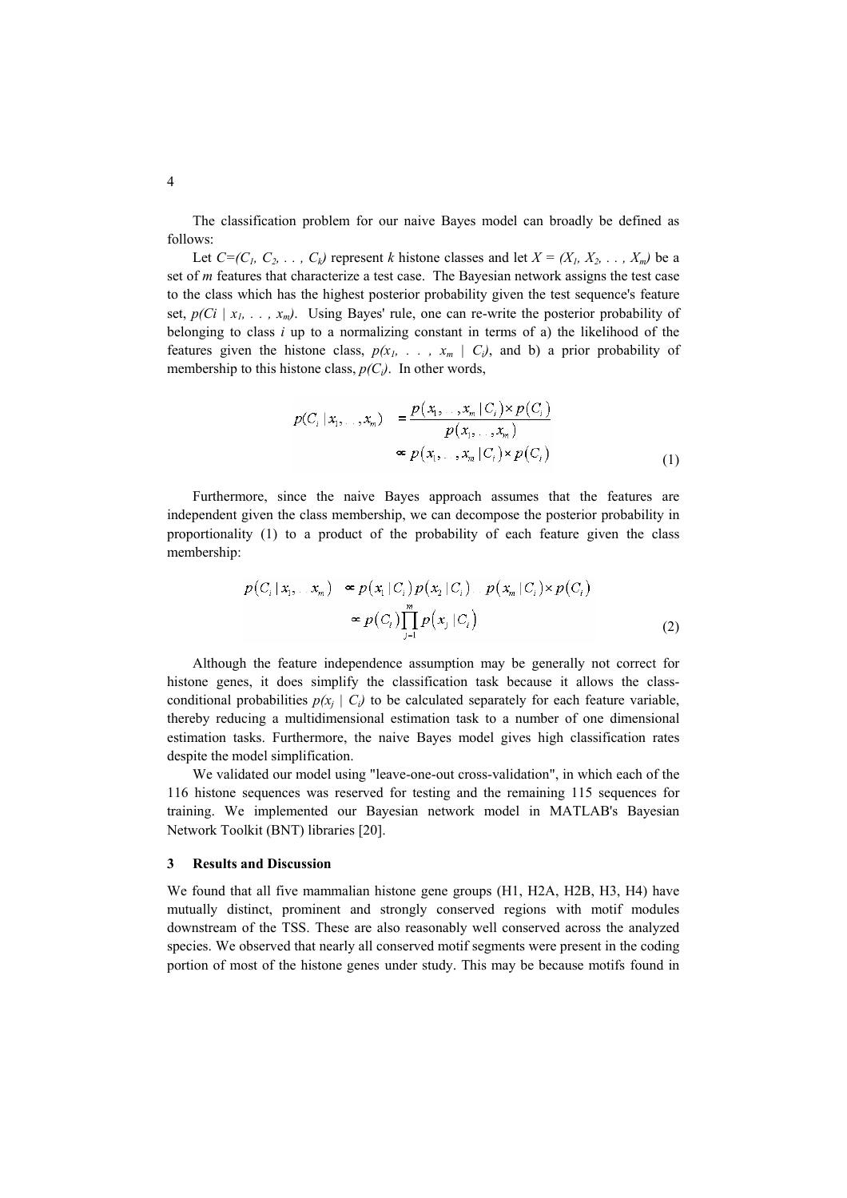The classification problem for our naive Bayes model can broadly be defined as follows:

Let  $C=(C_1, C_2, \ldots, C_k)$  represent *k* histone classes and let  $X = (X_1, X_2, \ldots, X_m)$  be a set of *m* features that characterize a test case. The Bayesian network assigns the test case to the class which has the highest posterior probability given the test sequence's feature set,  $p(Ci \mid x_1, \ldots, x_m)$ . Using Bayes' rule, one can re-write the posterior probability of belonging to class *i* up to a normalizing constant in terms of a) the likelihood of the features given the histone class,  $p(x_1, \ldots, x_m \mid C_i)$ , and b) a prior probability of membership to this histone class,  $p(C_i)$ . In other words,

$$
p(C_i | x_1, \ldots, x_m) = \frac{p(x_1, \ldots, x_m | C_i) \times p(C_i)}{p(x_1, \ldots, x_m)}
$$

$$
\approx p(x_1, \ldots, x_m | C_i) \times p(C_i)
$$
(1)

Furthermore, since the naive Bayes approach assumes that the features are independent given the class membership, we can decompose the posterior probability in proportionality (1) to a product of the probability of each feature given the class membership:

$$
p(C_i | x_1, \ldots x_m) \propto p(x_1 | C_i) p(x_2 | C_i) \ldots p(x_m | C_i) \times p(C_i)
$$
  

$$
\propto p(C_i) \prod_{i=1}^m p(x_i | C_i)
$$
 (2)

Although the feature independence assumption may be generally not correct for histone genes, it does simplify the classification task because it allows the classconditional probabilities  $p(x_i | C_i)$  to be calculated separately for each feature variable, thereby reducing a multidimensional estimation task to a number of one dimensional estimation tasks. Furthermore, the naive Bayes model gives high classification rates despite the model simplification.

We validated our model using "leave-one-out cross-validation", in which each of the 116 histone sequences was reserved for testing and the remaining 115 sequences for training. We implemented our Bayesian network model in MATLAB's Bayesian Network Toolkit (BNT) libraries [20].

### **3 Results and Discussion**

We found that all five mammalian histone gene groups (H1, H2A, H2B, H3, H4) have mutually distinct, prominent and strongly conserved regions with motif modules downstream of the TSS. These are also reasonably well conserved across the analyzed species. We observed that nearly all conserved motif segments were present in the coding portion of most of the histone genes under study. This may be because motifs found in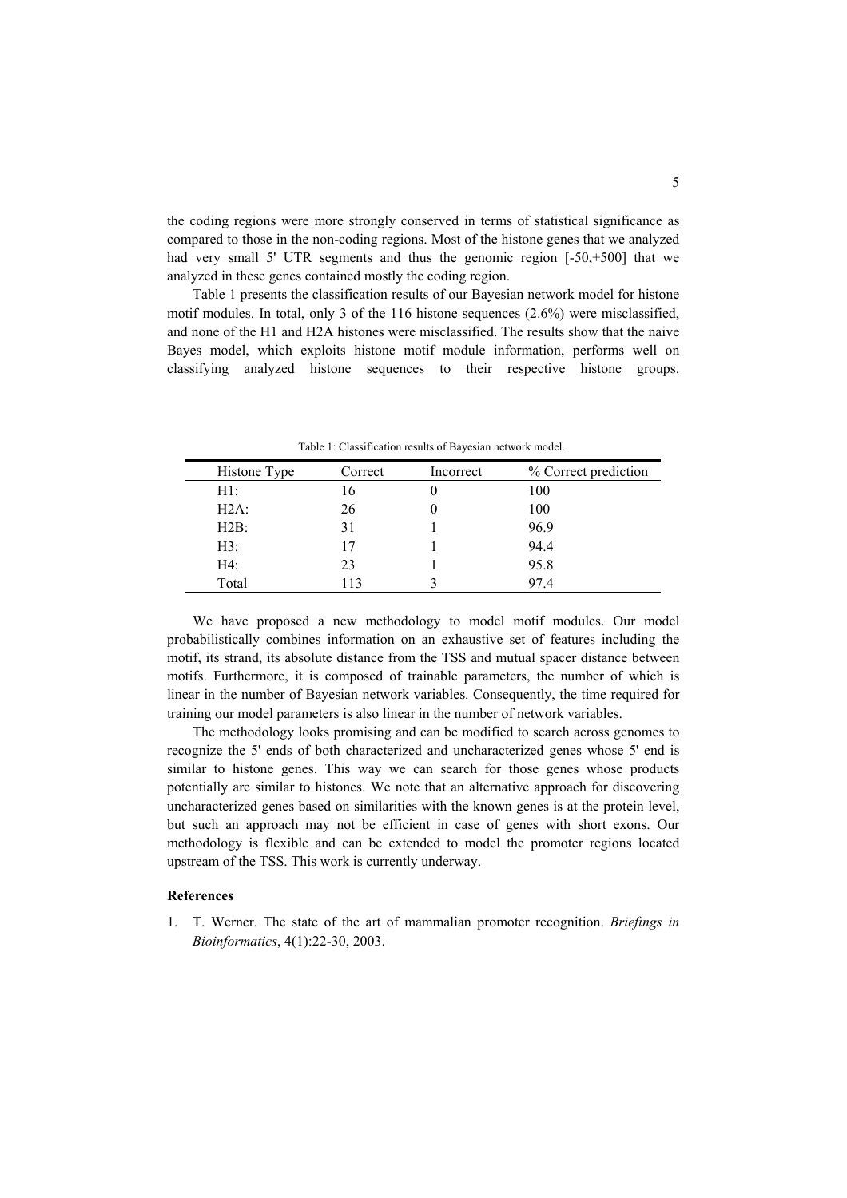the coding regions were more strongly conserved in terms of statistical significance as compared to those in the non-coding regions. Most of the histone genes that we analyzed had very small 5' UTR segments and thus the genomic region [-50,+500] that we analyzed in these genes contained mostly the coding region.

Table 1 presents the classification results of our Bayesian network model for histone motif modules. In total, only 3 of the 116 histone sequences (2.6%) were misclassified, and none of the H1 and H2A histones were misclassified. The results show that the naive Bayes model, which exploits histone motif module information, performs well on classifying analyzed histone sequences to their respective histone groups.

| Histone Type | Correct | Incorrect | % Correct prediction |
|--------------|---------|-----------|----------------------|
| H1:          | 16      |           | 100                  |
| $H2A$ :      | 26      |           | 100                  |
| H2B:         | 31      |           | 96.9                 |
| H3:          | 17      |           | 94.4                 |
| H4:          | 23      |           | 95.8                 |
| Total        | 113     |           | 97.4                 |

Table 1: Classification results of Bayesian network model.

We have proposed a new methodology to model motif modules. Our model probabilistically combines information on an exhaustive set of features including the motif, its strand, its absolute distance from the TSS and mutual spacer distance between motifs. Furthermore, it is composed of trainable parameters, the number of which is linear in the number of Bayesian network variables. Consequently, the time required for training our model parameters is also linear in the number of network variables.

The methodology looks promising and can be modified to search across genomes to recognize the 5' ends of both characterized and uncharacterized genes whose 5' end is similar to histone genes. This way we can search for those genes whose products potentially are similar to histones. We note that an alternative approach for discovering uncharacterized genes based on similarities with the known genes is at the protein level, but such an approach may not be efficient in case of genes with short exons. Our methodology is flexible and can be extended to model the promoter regions located upstream of the TSS. This work is currently underway.

## **References**

1. T. Werner. The state of the art of mammalian promoter recognition. *Briefings in Bioinformatics*, 4(1):22-30, 2003.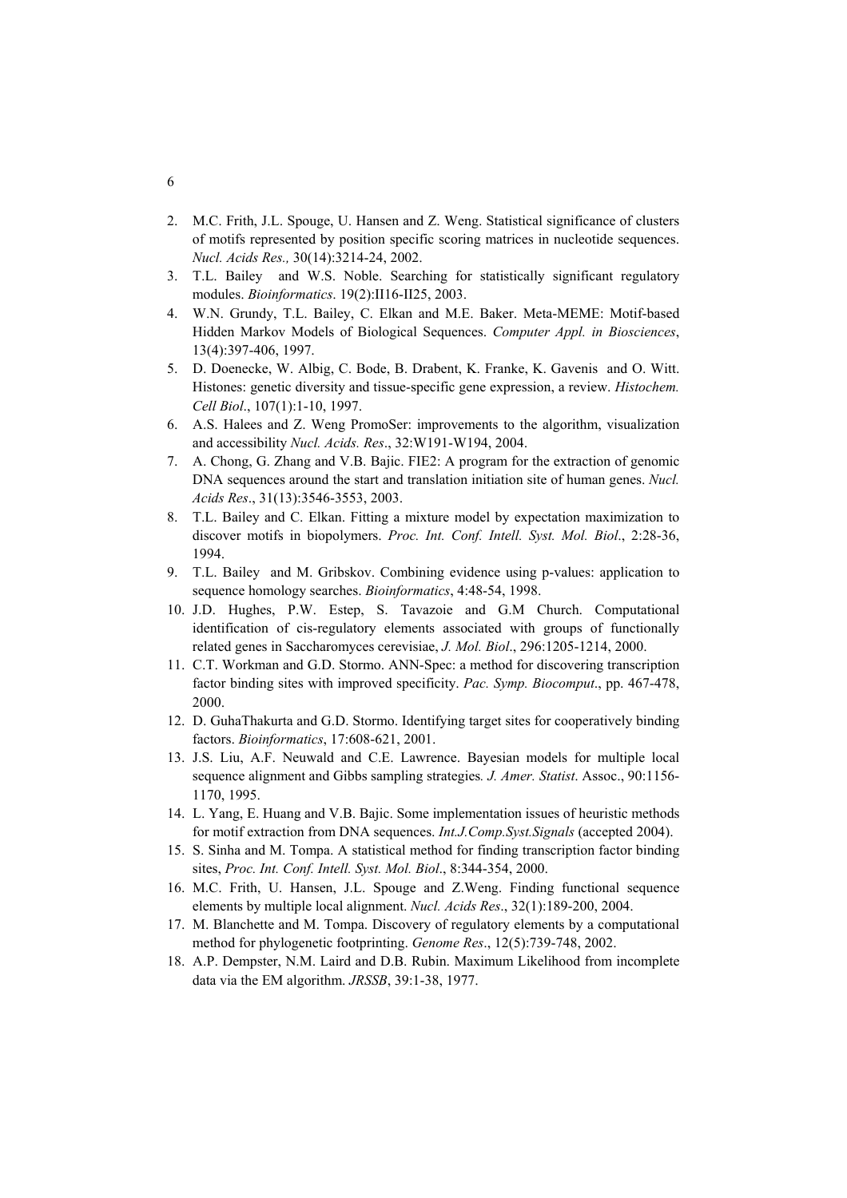- 2. M.C. Frith, J.L. Spouge, U. Hansen and Z. Weng. Statistical significance of clusters of motifs represented by position specific scoring matrices in nucleotide sequences. *Nucl. Acids Res.,* 30(14):3214-24, 2002.
- 3. T.L. Bailey and W.S. Noble. Searching for statistically significant regulatory modules. *Bioinformatics*. 19(2):II16-II25, 2003.
- 4. W.N. Grundy, T.L. Bailey, C. Elkan and M.E. Baker. Meta-MEME: Motif-based Hidden Markov Models of Biological Sequences. *Computer Appl. in Biosciences*, 13(4):397-406, 1997.
- 5. D. Doenecke, W. Albig, C. Bode, B. Drabent, K. Franke, K. Gavenis and O. Witt. Histones: genetic diversity and tissue-specific gene expression, a review. *Histochem. Cell Biol*., 107(1):1-10, 1997.
- 6. A.S. Halees and Z. Weng PromoSer: improvements to the algorithm, visualization and accessibility *Nucl. Acids. Res*., 32:W191-W194, 2004.
- 7. A. Chong, G. Zhang and V.B. Bajic. FIE2: A program for the extraction of genomic DNA sequences around the start and translation initiation site of human genes. *Nucl. Acids Res*., 31(13):3546-3553, 2003.
- 8. T.L. Bailey and C. Elkan. Fitting a mixture model by expectation maximization to discover motifs in biopolymers. *Proc. Int. Conf. Intell. Syst. Mol. Biol*., 2:28-36, 1994.
- 9. T.L. Bailey and M. Gribskov. Combining evidence using p-values: application to sequence homology searches. *Bioinformatics*, 4:48-54, 1998.
- 10. J.D. Hughes, P.W. Estep, S. Tavazoie and G.M Church. Computational identification of cis-regulatory elements associated with groups of functionally related genes in Saccharomyces cerevisiae, *J. Mol. Biol*., 296:1205-1214, 2000.
- 11. C.T. Workman and G.D. Stormo. ANN-Spec: a method for discovering transcription factor binding sites with improved specificity. *Pac. Symp. Biocomput*., pp. 467-478, 2000.
- 12. D. GuhaThakurta and G.D. Stormo. Identifying target sites for cooperatively binding factors. *Bioinformatics*, 17:608-621, 2001.
- 13. J.S. Liu, A.F. Neuwald and C.E. Lawrence. Bayesian models for multiple local sequence alignment and Gibbs sampling strategies*. J. Amer. Statist*. Assoc., 90:1156- 1170, 1995.
- 14. L. Yang, E. Huang and V.B. Bajic. Some implementation issues of heuristic methods for motif extraction from DNA sequences. *Int.J.Comp.Syst.Signals* (accepted 2004).
- 15. S. Sinha and M. Tompa. A statistical method for finding transcription factor binding sites, *Proc. Int. Conf. Intell. Syst. Mol. Biol*., 8:344-354, 2000.
- 16. M.C. Frith, U. Hansen, J.L. Spouge and Z.Weng. Finding functional sequence elements by multiple local alignment. *Nucl. Acids Res*., 32(1):189-200, 2004.
- 17. M. Blanchette and M. Tompa. Discovery of regulatory elements by a computational method for phylogenetic footprinting. *Genome Res*., 12(5):739-748, 2002.
- 18. A.P. Dempster, N.M. Laird and D.B. Rubin. Maximum Likelihood from incomplete data via the EM algorithm. *JRSSB*, 39:1-38, 1977.

6